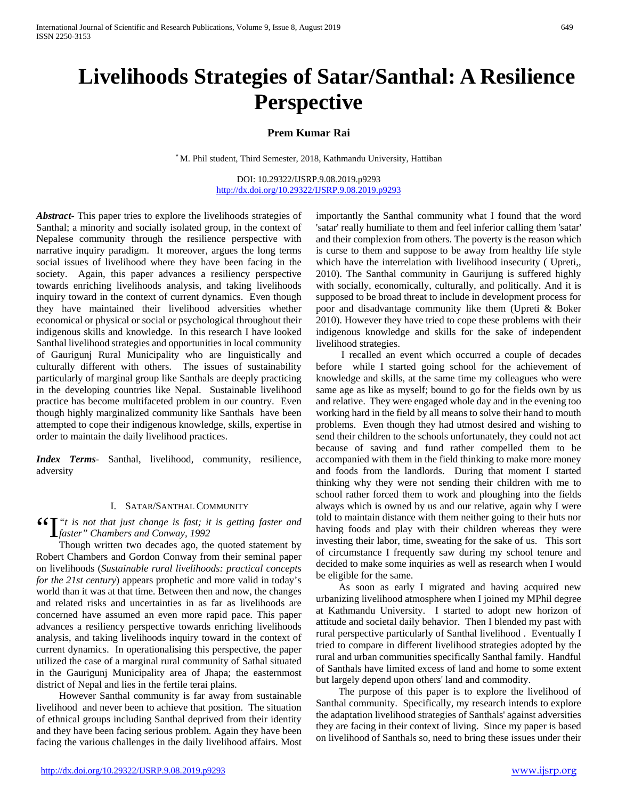# **Livelihoods Strategies of Satar/Santhal: A Resilience Perspective**

## **Prem Kumar Rai**

\* M. Phil student, Third Semester, 2018, Kathmandu University, Hattiban

DOI: 10.29322/IJSRP.9.08.2019.p9293 <http://dx.doi.org/10.29322/IJSRP.9.08.2019.p9293>

*Abstract***-** This paper tries to explore the livelihoods strategies of Santhal; a minority and socially isolated group, in the context of Nepalese community through the resilience perspective with narrative inquiry paradigm. It moreover, argues the long terms social issues of livelihood where they have been facing in the society. Again, this paper advances a resiliency perspective towards enriching livelihoods analysis, and taking livelihoods inquiry toward in the context of current dynamics. Even though they have maintained their livelihood adversities whether economical or physical or social or psychological throughout their indigenous skills and knowledge. In this research I have looked Santhal livelihood strategies and opportunities in local community of Gaurigunj Rural Municipality who are linguistically and culturally different with others. The issues of sustainability particularly of marginal group like Santhals are deeply practicing in the developing countries like Nepal. Sustainable livelihood practice has become multifaceted problem in our country. Even though highly marginalized community like Santhals have been attempted to cope their indigenous knowledge, skills, expertise in order to maintain the daily livelihood practices.

*Index Terms*- Santhal, livelihood, community, resilience, adversity

#### I. SATAR/SANTHAL COMMUNITY

**46**  $\sum_{\text{faster}}^{\text{\'et}}$  *t* is not that just change is fast; it is getting faster and faster" Chambers and Conway, 1992 *faster" Chambers and Conway, 1992* 

 Though written two decades ago, the quoted statement by Robert Chambers and Gordon Conway from their seminal paper on livelihoods (*Sustainable rural livelihoods: practical concepts for the 21st century*) appears prophetic and more valid in today's world than it was at that time. Between then and now, the changes and related risks and uncertainties in as far as livelihoods are concerned have assumed an even more rapid pace. This paper advances a resiliency perspective towards enriching livelihoods analysis, and taking livelihoods inquiry toward in the context of current dynamics. In operationalising this perspective, the paper utilized the case of a marginal rural community of Sathal situated in the Gaurigunj Municipality area of Jhapa; the easternmost district of Nepal and lies in the fertile terai plains.

 However Santhal community is far away from sustainable livelihood and never been to achieve that position. The situation of ethnical groups including Santhal deprived from their identity and they have been facing serious problem. Again they have been facing the various challenges in the daily livelihood affairs. Most

importantly the Santhal community what I found that the word 'satar' really humiliate to them and feel inferior calling them 'satar' and their complexion from others. The poverty is the reason which is curse to them and suppose to be away from healthy life style which have the interrelation with livelihood insecurity (Upreti,, 2010). The Santhal community in Gaurijung is suffered highly with socially, economically, culturally, and politically. And it is supposed to be broad threat to include in development process for poor and disadvantage community like them (Upreti & Boker 2010). However they have tried to cope these problems with their indigenous knowledge and skills for the sake of independent livelihood strategies.

 I recalled an event which occurred a couple of decades before while I started going school for the achievement of knowledge and skills, at the same time my colleagues who were same age as like as myself; bound to go for the fields own by us and relative. They were engaged whole day and in the evening too working hard in the field by all means to solve their hand to mouth problems. Even though they had utmost desired and wishing to send their children to the schools unfortunately, they could not act because of saving and fund rather compelled them to be accompanied with them in the field thinking to make more money and foods from the landlords. During that moment I started thinking why they were not sending their children with me to school rather forced them to work and ploughing into the fields always which is owned by us and our relative, again why I were told to maintain distance with them neither going to their huts nor having foods and play with their children whereas they were investing their labor, time, sweating for the sake of us. This sort of circumstance I frequently saw during my school tenure and decided to make some inquiries as well as research when I would be eligible for the same.

 As soon as early I migrated and having acquired new urbanizing livelihood atmosphere when I joined my MPhil degree at Kathmandu University. I started to adopt new horizon of attitude and societal daily behavior. Then I blended my past with rural perspective particularly of Santhal livelihood . Eventually I tried to compare in different livelihood strategies adopted by the rural and urban communities specifically Santhal family. Handful of Santhals have limited excess of land and home to some extent but largely depend upon others' land and commodity.

 The purpose of this paper is to explore the livelihood of Santhal community. Specifically, my research intends to explore the adaptation livelihood strategies of Santhals' against adversities they are facing in their context of living. Since my paper is based on livelihood of Santhals so, need to bring these issues under their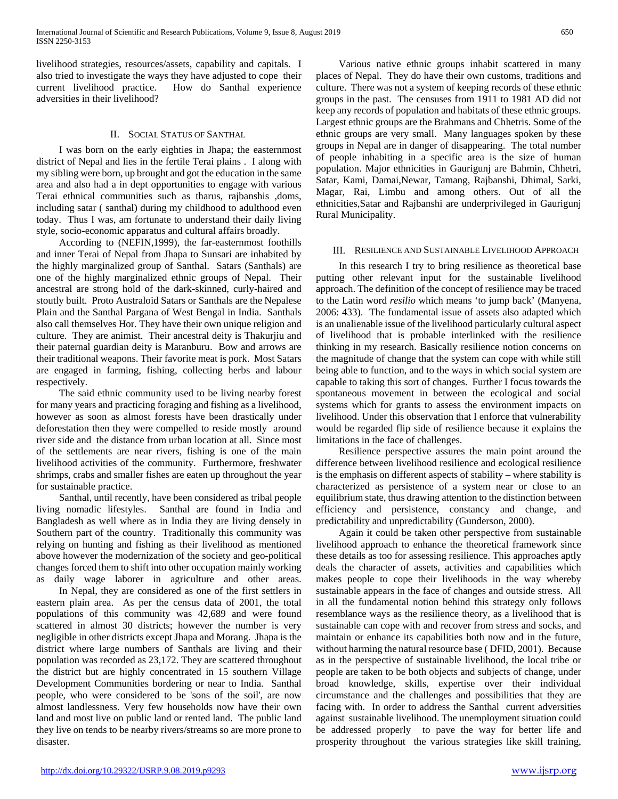livelihood strategies, resources/assets, capability and capitals. I also tried to investigate the ways they have adjusted to cope their current livelihood practice. How do Santhal experience adversities in their livelihood?

## II. SOCIAL STATUS OF SANTHAL

 I was born on the early eighties in Jhapa; the easternmost district of Nepal and lies in the fertile Terai plains . I along with my sibling were born, up brought and got the education in the same area and also had a in dept opportunities to engage with various Terai ethnical communities such as tharus, rajbanshis ,doms, including satar ( santhal) during my childhood to adulthood even today. Thus I was, am fortunate to understand their daily living style, socio-economic apparatus and cultural affairs broadly.

 According to (NEFIN,1999), the far-easternmost foothills and inner Terai of Nepal from Jhapa to Sunsari are inhabited by the highly marginalized group of Santhal. Satars (Santhals) are one of the highly marginalized ethnic groups of Nepal. Their ancestral are strong hold of the dark-skinned, curly-haired and stoutly built. Proto Australoid Satars or Santhals are the Nepalese Plain and the Santhal Pargana of West Bengal in India. Santhals also call themselves Hor. They have their own unique religion and culture. They are animist. Their ancestral deity is Thakurjiu and their paternal guardian deity is Maranburu. Bow and arrows are their traditional weapons. Their favorite meat is pork. Most Satars are engaged in farming, fishing, collecting herbs and labour respectively.

 The said ethnic community used to be living nearby forest for many years and practicing foraging and fishing as a livelihood, however as soon as almost forests have been drastically under deforestation then they were compelled to reside mostly around river side and the distance from urban location at all. Since most of the settlements are near rivers, fishing is one of the main livelihood activities of the community. Furthermore, freshwater shrimps, crabs and smaller fishes are eaten up throughout the year for sustainable practice.

 Santhal, until recently, have been considered as tribal people living nomadic lifestyles. Santhal are found in India and Bangladesh as well where as in India they are living densely in Southern part of the country. Traditionally this community was relying on hunting and fishing as their livelihood as mentioned above however the modernization of the society and geo-political changes forced them to shift into other occupation mainly working as daily wage laborer in agriculture and other areas.

 In Nepal, they are considered as one of the first settlers in eastern plain area. As per the census data of 2001, the total populations of this community was 42,689 and were found scattered in almost 30 districts; however the number is very negligible in other districts except Jhapa and Morang. Jhapa is the district where large numbers of Santhals are living and their population was recorded as 23,172. They are scattered throughout the district but are highly concentrated in 15 southern Village Development Communities bordering or near to India. Santhal people, who were considered to be 'sons of the soil', are now almost landlessness. Very few households now have their own land and most live on public land or rented land. The public land they live on tends to be nearby rivers/streams so are more prone to disaster.

 Various native ethnic groups inhabit scattered in many places of Nepal. They do have their own customs, traditions and culture. There was not a system of keeping records of these ethnic groups in the past. The censuses from 1911 to 1981 AD did not keep any records of population and habitats of these ethnic groups. Largest ethnic groups are the Brahmans and Chhetris. Some of the ethnic groups are very small. Many languages spoken by these groups in Nepal are in danger of disappearing. The total number of people inhabiting in a specific area is the size of human population. Major ethnicities in Gaurigunj are Bahmin, Chhetri, Satar, Kami, Damai,Newar, Tamang, Rajbanshi, Dhimal, Sarki, Magar, Rai, Limbu and among others. Out of all the ethnicities,Satar and Rajbanshi are underprivileged in Gaurigunj Rural Municipality.

### III. RESILIENCE AND SUSTAINABLE LIVELIHOOD APPROACH

 In this research I try to bring resilience as theoretical base putting other relevant input for the sustainable livelihood approach. The definition of the concept of resilience may be traced to the Latin word *resilio* which means 'to jump back' (Manyena, 2006: 433). The fundamental issue of assets also adapted which is an unalienable issue of the livelihood particularly cultural aspect of livelihood that is probable interlinked with the resilience thinking in my research. Basically resilience notion concerns on the magnitude of change that the system can cope with while still being able to function, and to the ways in which social system are capable to taking this sort of changes. Further I focus towards the spontaneous movement in between the ecological and social systems which for grants to assess the environment impacts on livelihood. Under this observation that I enforce that vulnerability would be regarded flip side of resilience because it explains the limitations in the face of challenges.

 Resilience perspective assures the main point around the difference between livelihood resilience and ecological resilience is the emphasis on different aspects of stability – where stability is characterized as persistence of a system near or close to an equilibrium state, thus drawing attention to the distinction between efficiency and persistence, constancy and change, and predictability and unpredictability (Gunderson, 2000).

 Again it could be taken other perspective from sustainable livelihood approach to enhance the theoretical framework since these details as too for assessing resilience. This approaches aptly deals the character of assets, activities and capabilities which makes people to cope their livelihoods in the way whereby sustainable appears in the face of changes and outside stress. All in all the fundamental notion behind this strategy only follows resemblance ways as the resilience theory, as a livelihood that is sustainable can cope with and recover from stress and socks, and maintain or enhance its capabilities both now and in the future, without harming the natural resource base ( DFID, 2001). Because as in the perspective of sustainable livelihood, the local tribe or people are taken to be both objects and subjects of change, under broad knowledge, skills, expertise over their individual circumstance and the challenges and possibilities that they are facing with. In order to address the Santhal current adversities against sustainable livelihood. The unemployment situation could be addressed properly to pave the way for better life and prosperity throughout the various strategies like skill training,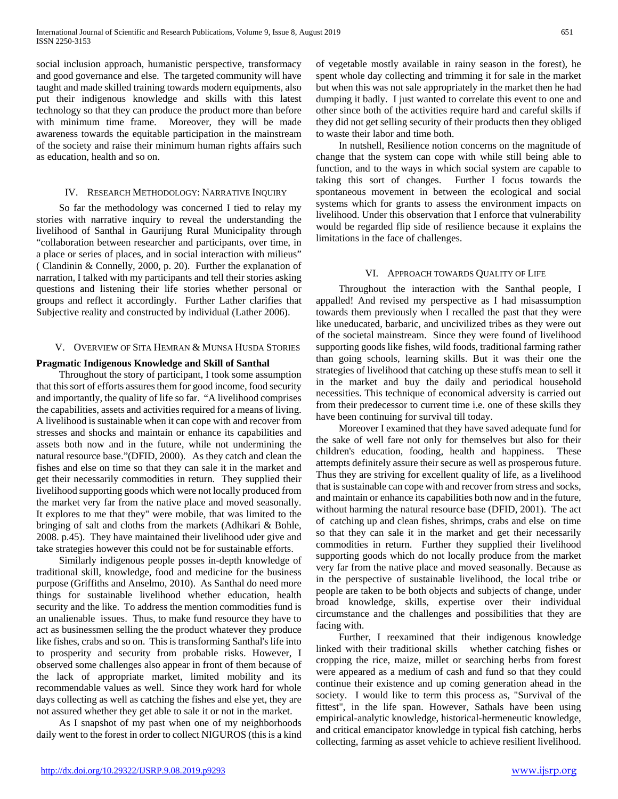social inclusion approach, humanistic perspective, transformacy and good governance and else. The targeted community will have taught and made skilled training towards modern equipments, also put their indigenous knowledge and skills with this latest technology so that they can produce the product more than before with minimum time frame. Moreover, they will be made awareness towards the equitable participation in the mainstream of the society and raise their minimum human rights affairs such as education, health and so on.

## IV. RESEARCH METHODOLOGY: NARRATIVE INQUIRY

 So far the methodology was concerned I tied to relay my stories with narrative inquiry to reveal the understanding the livelihood of Santhal in Gaurijung Rural Municipality through "collaboration between researcher and participants, over time, in a place or series of places, and in social interaction with milieus" ( Clandinin & Connelly, 2000, p. 20). Further the explanation of narration, I talked with my participants and tell their stories asking questions and listening their life stories whether personal or groups and reflect it accordingly. Further Lather clarifies that Subjective reality and constructed by individual (Lather 2006).

## V. OVERVIEW OF SITA HEMRAN & MUNSA HUSDA STORIES

## **Pragmatic Indigenous Knowledge and Skill of Santhal**

 Throughout the story of participant, I took some assumption that this sort of efforts assures them for good income, food security and importantly, the quality of life so far. "A livelihood comprises the capabilities, assets and activities required for a means of living. A livelihood is sustainable when it can cope with and recover from stresses and shocks and maintain or enhance its capabilities and assets both now and in the future, while not undermining the natural resource base."(DFID, 2000). As they catch and clean the fishes and else on time so that they can sale it in the market and get their necessarily commodities in return. They supplied their livelihood supporting goods which were not locally produced from the market very far from the native place and moved seasonally. It explores to me that they" were mobile, that was limited to the bringing of salt and cloths from the markets (Adhikari & Bohle, 2008. p.45). They have maintained their livelihood uder give and take strategies however this could not be for sustainable efforts.

 Similarly indigenous people posses in-depth knowledge of traditional skill, knowledge, food and medicine for the business purpose (Griffiths and Anselmo, 2010). As Santhal do need more things for sustainable livelihood whether education, health security and the like. To address the mention commodities fund is an unalienable issues. Thus, to make fund resource they have to act as businessmen selling the the product whatever they produce like fishes, crabs and so on. This is transforming Santhal's life into to prosperity and security from probable risks. However, I observed some challenges also appear in front of them because of the lack of appropriate market, limited mobility and its recommendable values as well. Since they work hard for whole days collecting as well as catching the fishes and else yet, they are not assured whether they get able to sale it or not in the market.

 As I snapshot of my past when one of my neighborhoods daily went to the forest in order to collect NIGUROS (this is a kind of vegetable mostly available in rainy season in the forest), he spent whole day collecting and trimming it for sale in the market but when this was not sale appropriately in the market then he had dumping it badly. I just wanted to correlate this event to one and other since both of the activities require hard and careful skills if they did not get selling security of their products then they obliged to waste their labor and time both.

 In nutshell, Resilience notion concerns on the magnitude of change that the system can cope with while still being able to function, and to the ways in which social system are capable to taking this sort of changes. Further I focus towards the spontaneous movement in between the ecological and social systems which for grants to assess the environment impacts on livelihood. Under this observation that I enforce that vulnerability would be regarded flip side of resilience because it explains the limitations in the face of challenges.

## VI. APPROACH TOWARDS QUALITY OF LIFE

 Throughout the interaction with the Santhal people, I appalled! And revised my perspective as I had misassumption towards them previously when I recalled the past that they were like uneducated, barbaric, and uncivilized tribes as they were out of the societal mainstream. Since they were found of livelihood supporting goods like fishes, wild foods, traditional farming rather than going schools, learning skills. But it was their one the strategies of livelihood that catching up these stuffs mean to sell it in the market and buy the daily and periodical household necessities. This technique of economical adversity is carried out from their predecessor to current time i.e. one of these skills they have been continuing for survival till today.

 Moreover I examined that they have saved adequate fund for the sake of well fare not only for themselves but also for their children's education, fooding, health and happiness. These attempts definitely assure their secure as well as prosperous future. Thus they are striving for excellent quality of life, as a livelihood that is sustainable can cope with and recover from stress and socks, and maintain or enhance its capabilities both now and in the future, without harming the natural resource base (DFID, 2001). The act of catching up and clean fishes, shrimps, crabs and else on time so that they can sale it in the market and get their necessarily commodities in return. Further they supplied their livelihood supporting goods which do not locally produce from the market very far from the native place and moved seasonally. Because as in the perspective of sustainable livelihood, the local tribe or people are taken to be both objects and subjects of change, under broad knowledge, skills, expertise over their individual circumstance and the challenges and possibilities that they are facing with.

 Further, I reexamined that their indigenous knowledge linked with their traditional skills whether catching fishes or cropping the rice, maize, millet or searching herbs from forest were appeared as a medium of cash and fund so that they could continue their existence and up coming generation ahead in the society. I would like to term this process as, "Survival of the fittest", in the life span. However, Sathals have been using empirical-analytic knowledge, historical-hermeneutic knowledge, and critical emancipator knowledge in typical fish catching, herbs collecting, farming as asset vehicle to achieve resilient livelihood.